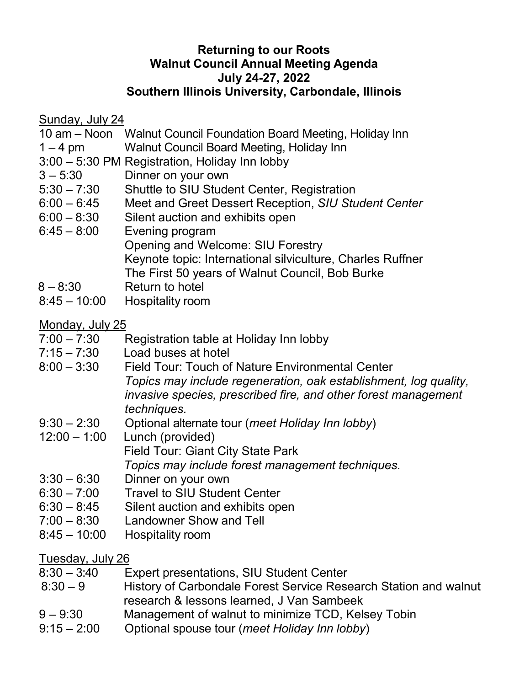#### **Returning to our Roots Walnut Council Annual Meeting Agenda July 24-27, 2022 Southern Illinois University, Carbondale, Illinois**

Sunday, July 24<br>10 am – Noon

- Walnut Council Foundation Board Meeting, Holiday Inn
- 1 4 pm Walnut Council Board Meeting, Holiday Inn
- 3:00 5:30 PM Registration, Holiday Inn lobby
- 3 5:30 Dinner on your own
- 5:30 7:30 Shuttle to SIU Student Center, Registration
- 6:00 6:45 Meet and Greet Dessert Reception, *SIU Student Center*
- 6:00 8:30 Silent auction and exhibits open
- 6:45 8:00 Evening program Opening and Welcome: SIU Forestry Keynote topic: International silviculture, Charles Ruffner The First 50 years of Walnut Council, Bob Burke
- $8 8:30$  Return to hotel
- 8:45 10:00 Hospitality room

# <u>Monday, July 25</u><br>7:00 – 7:30

- Registration table at Holiday Inn lobby
- 7:15 7:30 Load buses at hotel
- 8:00 3:30 Field Tour: Touch of Nature Environmental Center *Topics may include regeneration, oak establishment, log quality, invasive species, prescribed fire, and other forest management techniques.*
- 9:30 2:30 Optional alternate tour (*meet Holiday Inn lobby*)
- Lunch (provided) Field Tour: Giant City State Park *Topics may include forest management techniques.*
- $3:30 6:30$  Dinner on your own
- 6:30 7:00 Travel to SIU Student Center
- 6:30 8:45 Silent auction and exhibits open
- 7:00 8:30 Landowner Show and Tell
- 8:45 10:00 Hospitality room

### Tuesday, July 26

- $8:30 3:40$ Expert presentations, SIU Student Center
- $8:30 9$ History of Carbondale Forest Service Research Station and walnut research & lessons learned, J Van Sambeek
- $9 9:30$ Management of walnut to minimize TCD, Kelsey Tobin
- $9:15 2:00$ Optional spouse tour (*meet Holiday Inn lobby*)